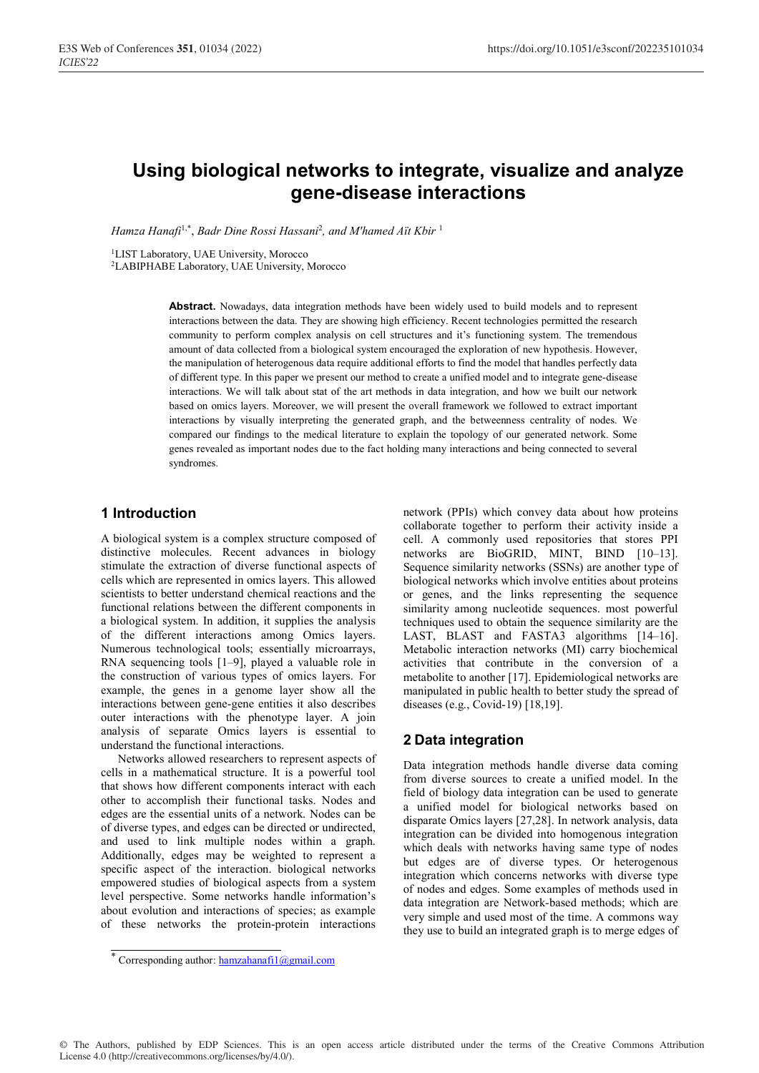# **Using biological networks to integrate, visualize and analyze gene-disease interactions**

*Hamza Hanafi*1,\*, *Badr Dine Rossi Hassani*<sup>2</sup> *, and M'hamed Aït Kbir* <sup>1</sup>

<sup>1</sup>LIST Laboratory, UAE University, Morocco

2LABIPHABE Laboratory, UAE University, Morocco

**Abstract.** Nowadays, data integration methods have been widely used to build models and to represent interactions between the data. They are showing high efficiency. Recent technologies permitted the research community to perform complex analysis on cell structures and it's functioning system. The tremendous amount of data collected from a biological system encouraged the exploration of new hypothesis. However, the manipulation of heterogenous data require additional efforts to find the model that handles perfectly data of different type. In this paper we present our method to create a unified model and to integrate gene-disease interactions. We will talk about stat of the art methods in data integration, and how we built our network based on omics layers. Moreover, we will present the overall framework we followed to extract important interactions by visually interpreting the generated graph, and the betweenness centrality of nodes. We compared our findings to the medical literature to explain the topology of our generated network. Some genes revealed as important nodes due to the fact holding many interactions and being connected to several syndromes.

### **1 Introduction**

A biological system is a complex structure composed of distinctive molecules. Recent advances in biology stimulate the extraction of diverse functional aspects of cells which are represented in omics layers. This allowed scientists to better understand chemical reactions and the functional relations between the different components in a biological system. In addition, it supplies the analysis of the different interactions among Omics layers. Numerous technological tools; essentially microarrays, RNA sequencing tools [1–9], played a valuable role in the construction of various types of omics layers. For example, the genes in a genome layer show all the interactions between gene-gene entities it also describes outer interactions with the phenotype layer. A join analysis of separate Omics layers is essential to understand the functional interactions.

Networks allowed researchers to represent aspects of cells in a mathematical structure. It is a powerful tool that shows how different components interact with each other to accomplish their functional tasks. Nodes and edges are the essential units of a network. Nodes can be of diverse types, and edges can be directed or undirected, and used to link multiple nodes within a graph. Additionally, edges may be weighted to represent a specific aspect of the interaction. biological networks empowered studies of biological aspects from a system level perspective. Some networks handle information's about evolution and interactions of species; as example of these networks the protein-protein interactions

network (PPIs) which convey data about how proteins collaborate together to perform their activity inside a cell. A commonly used repositories that stores PPI networks are BioGRID, MINT, BIND [10–13]. Sequence similarity networks (SSNs) are another type of biological networks which involve entities about proteins or genes, and the links representing the sequence similarity among nucleotide sequences. most powerful techniques used to obtain the sequence similarity are the LAST, BLAST and FASTA3 algorithms [14–16]. Metabolic interaction networks (MI) carry biochemical activities that contribute in the conversion of a metabolite to another [17]. Epidemiological networks are manipulated in public health to better study the spread of diseases (e.g., Covid-19) [18,19].

## **2 Data integration**

Data integration methods handle diverse data coming from diverse sources to create a unified model. In the field of biology data integration can be used to generate a unified model for biological networks based on disparate Omics layers [27,28]. In network analysis, data integration can be divided into homogenous integration which deals with networks having same type of nodes but edges are of diverse types. Or heterogenous integration which concerns networks with diverse type of nodes and edges. Some examples of methods used in data integration are Network-based methods; which are very simple and used most of the time. A commons way they use to build an integrated graph is to merge edges of

<sup>\*</sup> Corresponding author: hamzahanafi1@gmail.com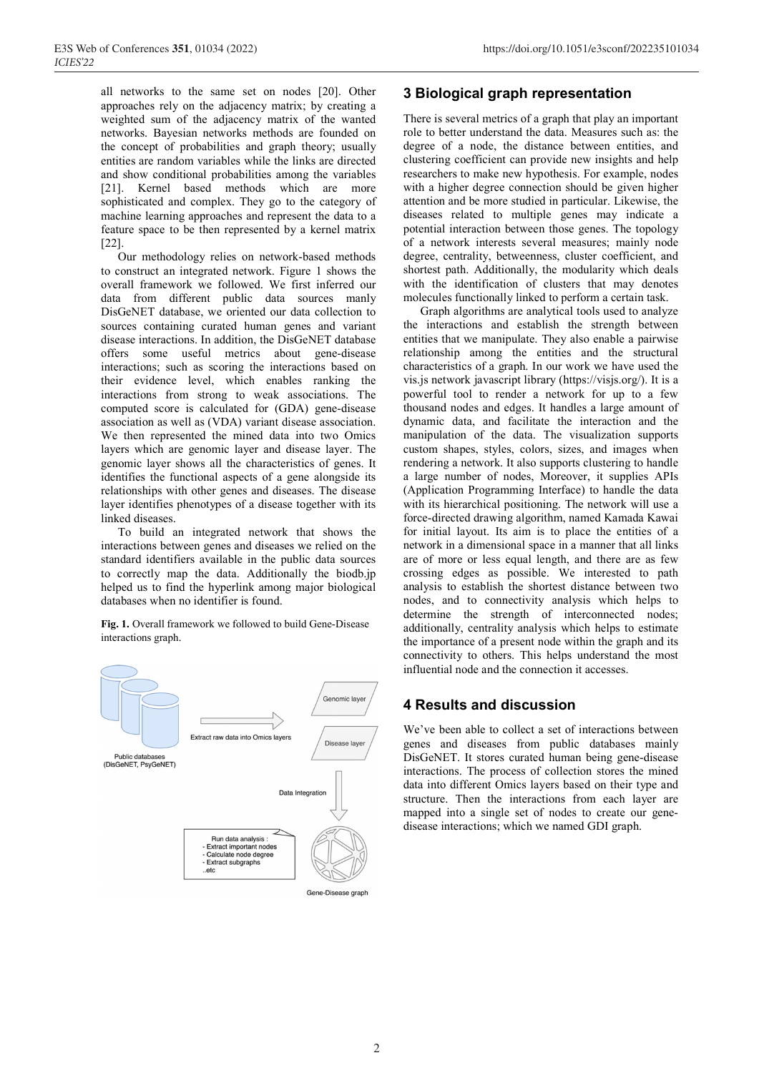all networks to the same set on nodes [20]. Other approaches rely on the adjacency matrix; by creating a weighted sum of the adjacency matrix of the wanted networks. Bayesian networks methods are founded on the concept of probabilities and graph theory; usually entities are random variables while the links are directed and show conditional probabilities among the variables [21]. Kernel based methods which are more sophisticated and complex. They go to the category of machine learning approaches and represent the data to a feature space to be then represented by a kernel matrix [22].

Our methodology relies on network-based methods to construct an integrated network. Figure 1 shows the overall framework we followed. We first inferred our data from different public data sources manly DisGeNET database, we oriented our data collection to sources containing curated human genes and variant disease interactions. In addition, the DisGeNET database offers some useful metrics about gene-disease interactions; such as scoring the interactions based on their evidence level, which enables ranking the interactions from strong to weak associations. The computed score is calculated for (GDA) gene-disease association as well as (VDA) variant disease association. We then represented the mined data into two Omics layers which are genomic layer and disease layer. The genomic layer shows all the characteristics of genes. It identifies the functional aspects of a gene alongside its relationships with other genes and diseases. The disease layer identifies phenotypes of a disease together with its linked diseases.

To build an integrated network that shows the interactions between genes and diseases we relied on the standard identifiers available in the public data sources to correctly map the data. Additionally the biodb.jp helped us to find the hyperlink among major biological databases when no identifier is found.

**Fig. 1.** Overall framework we followed to build Gene-Disease interactions graph.



# **3 Biological graph representation**

There is several metrics of a graph that play an important role to better understand the data. Measures such as: the degree of a node, the distance between entities, and clustering coefficient can provide new insights and help researchers to make new hypothesis. For example, nodes with a higher degree connection should be given higher attention and be more studied in particular. Likewise, the diseases related to multiple genes may indicate a potential interaction between those genes. The topology of a network interests several measures; mainly node degree, centrality, betweenness, cluster coefficient, and shortest path. Additionally, the modularity which deals with the identification of clusters that may denotes molecules functionally linked to perform a certain task.

Graph algorithms are analytical tools used to analyze the interactions and establish the strength between entities that we manipulate. They also enable a pairwise relationship among the entities and the structural characteristics of a graph. In our work we have used the vis.js network javascript library (https://visjs.org/). It is a powerful tool to render a network for up to a few thousand nodes and edges. It handles a large amount of dynamic data, and facilitate the interaction and the manipulation of the data. The visualization supports custom shapes, styles, colors, sizes, and images when rendering a network. It also supports clustering to handle a large number of nodes, Moreover, it supplies APIs (Application Programming Interface) to handle the data with its hierarchical positioning. The network will use a force-directed drawing algorithm, named Kamada Kawai for initial layout. Its aim is to place the entities of a network in a dimensional space in a manner that all links are of more or less equal length, and there are as few crossing edges as possible. We interested to path analysis to establish the shortest distance between two nodes, and to connectivity analysis which helps to determine the strength of interconnected nodes; additionally, centrality analysis which helps to estimate the importance of a present node within the graph and its connectivity to others. This helps understand the most influential node and the connection it accesses.

# **4 Results and discussion**

We've been able to collect a set of interactions between genes and diseases from public databases mainly DisGeNET. It stores curated human being gene-disease interactions. The process of collection stores the mined data into different Omics layers based on their type and structure. Then the interactions from each layer are mapped into a single set of nodes to create our genedisease interactions; which we named GDI graph.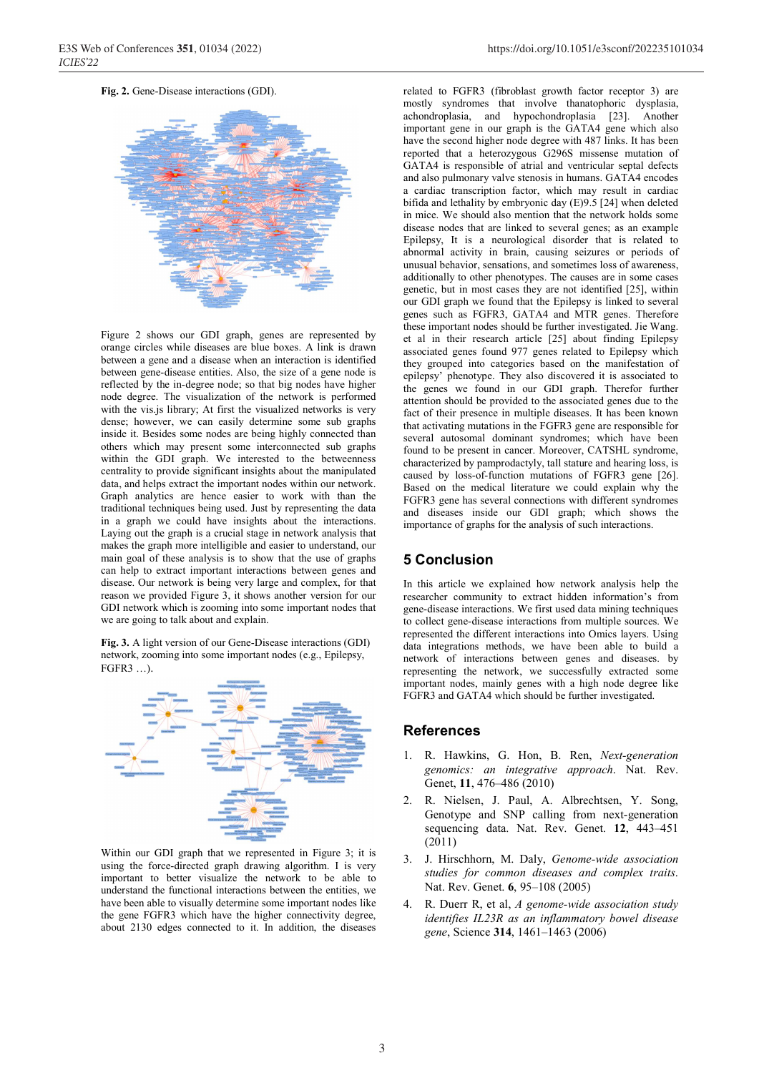#### **Fig. 2.** Gene-Disease interactions (GDI).



Figure 2 shows our GDI graph, genes are represented by orange circles while diseases are blue boxes. A link is drawn between a gene and a disease when an interaction is identified between gene-disease entities. Also, the size of a gene node is reflected by the in-degree node; so that big nodes have higher node degree. The visualization of the network is performed with the vis.js library; At first the visualized networks is very dense; however, we can easily determine some sub graphs inside it. Besides some nodes are being highly connected than others which may present some interconnected sub graphs within the GDI graph. We interested to the betweenness centrality to provide significant insights about the manipulated data, and helps extract the important nodes within our network. Graph analytics are hence easier to work with than the traditional techniques being used. Just by representing the data in a graph we could have insights about the interactions. Laying out the graph is a crucial stage in network analysis that makes the graph more intelligible and easier to understand, our main goal of these analysis is to show that the use of graphs can help to extract important interactions between genes and disease. Our network is being very large and complex, for that reason we provided Figure 3, it shows another version for our GDI network which is zooming into some important nodes that we are going to talk about and explain.

**Fig. 3.** A light version of our Gene-Disease interactions (GDI) network, zooming into some important nodes (e.g., Epilepsy, FGFR3 …).



Within our GDI graph that we represented in Figure 3; it is using the force-directed graph drawing algorithm. I is very important to better visualize the network to be able to understand the functional interactions between the entities, we have been able to visually determine some important nodes like the gene FGFR3 which have the higher connectivity degree, about 2130 edges connected to it. In addition, the diseases

related to FGFR3 (fibroblast growth factor receptor 3) are mostly syndromes that involve thanatophoric dysplasia, achondroplasia, and hypochondroplasia [23]. Another important gene in our graph is the GATA4 gene which also have the second higher node degree with 487 links. It has been reported that a heterozygous G296S missense mutation of GATA4 is responsible of atrial and ventricular septal defects and also pulmonary valve stenosis in humans. GATA4 encodes a cardiac transcription factor, which may result in cardiac bifida and lethality by embryonic day (E)9.5 [24] when deleted in mice. We should also mention that the network holds some disease nodes that are linked to several genes; as an example Epilepsy, It is a neurological disorder that is related to abnormal activity in brain, causing seizures or periods of unusual behavior, sensations, and sometimes loss of awareness, additionally to other phenotypes. The causes are in some cases genetic, but in most cases they are not identified [25], within our GDI graph we found that the Epilepsy is linked to several genes such as FGFR3, GATA4 and MTR genes. Therefore these important nodes should be further investigated. Jie Wang. et al in their research article [25] about finding Epilepsy associated genes found 977 genes related to Epilepsy which they grouped into categories based on the manifestation of epilepsy' phenotype. They also discovered it is associated to the genes we found in our GDI graph. Therefor further attention should be provided to the associated genes due to the fact of their presence in multiple diseases. It has been known that activating mutations in the FGFR3 gene are responsible for several autosomal dominant syndromes; which have been found to be present in cancer. Moreover, CATSHL syndrome, characterized by pamprodactyly, tall stature and hearing loss, is caused by loss-of-function mutations of FGFR3 gene [26]. Based on the medical literature we could explain why the FGFR3 gene has several connections with different syndromes and diseases inside our GDI graph; which shows the importance of graphs for the analysis of such interactions.

#### **5 Conclusion**

In this article we explained how network analysis help the researcher community to extract hidden information's from gene-disease interactions. We first used data mining techniques to collect gene-disease interactions from multiple sources. We represented the different interactions into Omics layers. Using data integrations methods, we have been able to build a network of interactions between genes and diseases. by representing the network, we successfully extracted some important nodes, mainly genes with a high node degree like FGFR3 and GATA4 which should be further investigated.

#### **References**

- 1. R. Hawkins, G. Hon, B. Ren, *Next-generation genomics: an integrative approach*. Nat. Rev. Genet, **11**, 476–486 (2010)
- 2. R. Nielsen, J. Paul, A. Albrechtsen, Y. Song, Genotype and SNP calling from next-generation sequencing data. Nat. Rev. Genet. **12**, 443–451 (2011)
- 3. J. Hirschhorn, M. Daly, *Genome-wide association studies for common diseases and complex traits*. Nat. Rev. Genet. **6**, 95–108 (2005)
- 4. R. Duerr R, et al, *A genome-wide association study identifies IL23R as an inflammatory bowel disease gene*, Science **314**, 1461–1463 (2006)